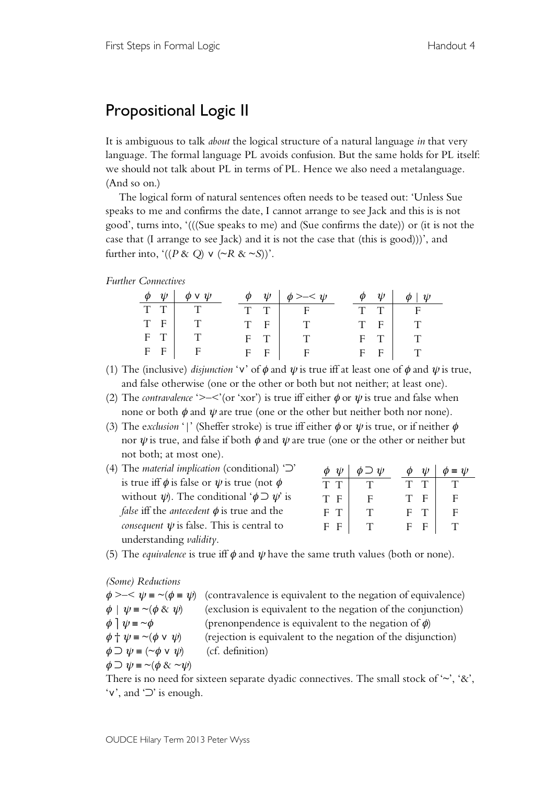# Propositional Logic II

It is ambiguous to talk *about* the logical structure of a natural language *in* that very language. The formal language PL avoids confusion. But the same holds for PL itself: we should not talk about PL in terms of PL. Hence we also need a metalanguage. (And so on.)

The logical form of natural sentences often needs to be teased out: 'Unless Sue speaks to me and confirms the date, I cannot arrange to see Jack and this is is not good', turns into, '(((Sue speaks to me) and (Sue confirms the date)) or (it is not the case that (I arrange to see Jack) and it is not the case that (this is good)))', and further into, ' $((P \& Q) \vee (\sim R \& \sim S))$ '.

### *Further Connectives*

| $\phi$ | $\psi$ | $\phi \vee \psi$ |       | $\phi \quad \psi \quad \phi \geq -\langle \psi \rangle$ | $\phi$ | $\psi$ | $\phi$<br>$\psi$ |
|--------|--------|------------------|-------|---------------------------------------------------------|--------|--------|------------------|
| T T    |        |                  | T T   | $\mathbf{F}$                                            | $T$ T  |        | F.               |
| T F    |        |                  | T F   | T.                                                      |        | T F    | $\mathbf T$      |
| $F$ T  |        |                  | $F$ T |                                                         |        | $F$ T  |                  |
| $F$ F  |        | F                | $F$ F | $F_{\perp}$                                             |        | $F$ F  |                  |

- (1) The (inclusive) *disjunction* ' $\mathbf{v}$ ' of  $\phi$  and  $\psi$  is true iff at least one of  $\phi$  and  $\psi$  is true, and false otherwise (one or the other or both but not neither; at least one).
- (2) The *contravalence* '>-<'(or 'xor') is true iff either  $\phi$  or  $\psi$  is true and false when none or both  $\phi$  and  $\psi$  are true (one or the other but neither both nor none).
- (3) The exclusion '|' (Sheffer stroke) is true iff either  $\phi$  or  $\psi$  is true, or if neither  $\phi$ nor  $\psi$  is true, and false if both  $\phi$  and  $\psi$  are true (one or the other or neither but not both; at most one).
- (4) The *material implication* (conditional) '⊃' is true iff  $\phi$  is false or  $\psi$  is true (not  $\phi$ without  $\psi$ ). The conditional ' $\phi \supset \psi'$  is *false* iff the *antecedent* φ is true and the *consequent*  $\psi$  is false. This is central to understanding *validity*.

| φ<br>$\psi$        | $\cup \psi$<br>Ф | $\psi$<br>Φ | $= \psi$ |
|--------------------|------------------|-------------|----------|
| T<br>T             |                  | Τ<br>Т      |          |
| T.<br>$\mathbf{F}$ | F                | T<br>F      | F        |
| F<br>T             | T                | F<br>T      | F        |
| F<br>F             |                  | F<br>F      |          |

(5) The *equivalence* is true iff  $\phi$  and  $\psi$  have the same truth values (both or none).

*(Some) Reductions*

 $\phi \geq -\langle \psi \rangle = \sim (\phi \equiv \psi)$  (contravalence is equivalent to the negation of equivalence)  $\phi \mid \psi = \neg(\phi \& \psi)$  (exclusion is equivalent to the negation of the conjunction)  $\phi$   $\psi = \phi$  (prenonpendence is equivalent to the negation of  $\phi$ )  $\phi + \psi = \sim (\phi \vee \psi)$  (rejection is equivalent to the negation of the disjunction)  $\phi \supset \psi = (\sim \phi \vee \psi)$  (cf. definition)  $\phi \supset \psi = \neg(\phi \& \neg \psi)$ 

There is no need for sixteen separate dyadic connectives. The small stock of ' $\sim$ ', '&', '∨', and '⊃' is enough.